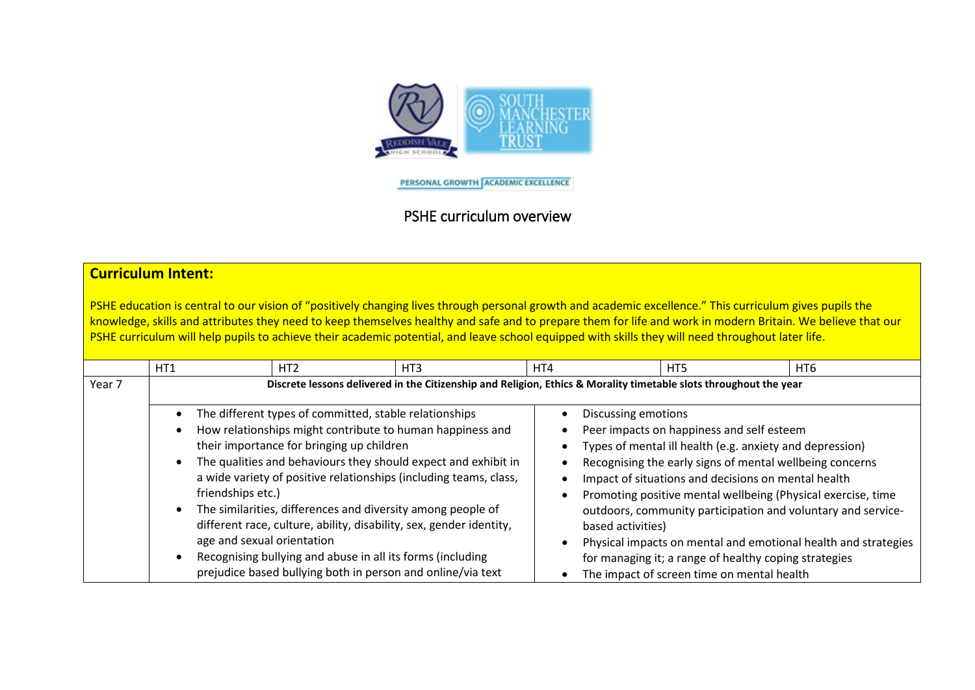

PERSONAL GROWTH ACADEMIC EXCELLENCE

## PSHE curriculum overview

## **Curriculum Intent:**

PSHE education is central to our vision of "positively changing lives through personal growth and academic excellence." This curriculum gives pupils the knowledge, skills and attributes they need to keep themselves healthy and safe and to prepare them for life and work in modern Britain. We believe that our PSHE curriculum will help pupils to achieve their academic potential, and leave school equipped with skills they will need throughout later life.

|        | HT1                                                           | HT <sub>2</sub>                                                                                                                                                                                                                                                                                                                                                                                                                                                                                                                                                                                                               | HT3 | HT4 |  | HT5                                                                                                                                                                                                                                                                                                                                                                                                                                                                                                                                                                           | HT6 |  |  |  |
|--------|---------------------------------------------------------------|-------------------------------------------------------------------------------------------------------------------------------------------------------------------------------------------------------------------------------------------------------------------------------------------------------------------------------------------------------------------------------------------------------------------------------------------------------------------------------------------------------------------------------------------------------------------------------------------------------------------------------|-----|-----|--|-------------------------------------------------------------------------------------------------------------------------------------------------------------------------------------------------------------------------------------------------------------------------------------------------------------------------------------------------------------------------------------------------------------------------------------------------------------------------------------------------------------------------------------------------------------------------------|-----|--|--|--|
| Year 7 |                                                               | Discrete lessons delivered in the Citizenship and Religion, Ethics & Morality timetable slots throughout the year                                                                                                                                                                                                                                                                                                                                                                                                                                                                                                             |     |     |  |                                                                                                                                                                                                                                                                                                                                                                                                                                                                                                                                                                               |     |  |  |  |
|        | $\bullet$<br>$\bullet$<br>$\bullet$<br>$\bullet$<br>$\bullet$ | The different types of committed, stable relationships<br>How relationships might contribute to human happiness and<br>their importance for bringing up children<br>The qualities and behaviours they should expect and exhibit in<br>a wide variety of positive relationships (including teams, class,<br>friendships etc.)<br>The similarities, differences and diversity among people of<br>different race, culture, ability, disability, sex, gender identity,<br>age and sexual orientation<br>Recognising bullying and abuse in all its forms (including<br>prejudice based bullying both in person and online/via text |     |     |  | Discussing emotions<br>Peer impacts on happiness and self esteem<br>Types of mental ill health (e.g. anxiety and depression)<br>Recognising the early signs of mental wellbeing concerns<br>Impact of situations and decisions on mental health<br>Promoting positive mental wellbeing (Physical exercise, time<br>outdoors, community participation and voluntary and service-<br>based activities)<br>Physical impacts on mental and emotional health and strategies<br>for managing it; a range of healthy coping strategies<br>The impact of screen time on mental health |     |  |  |  |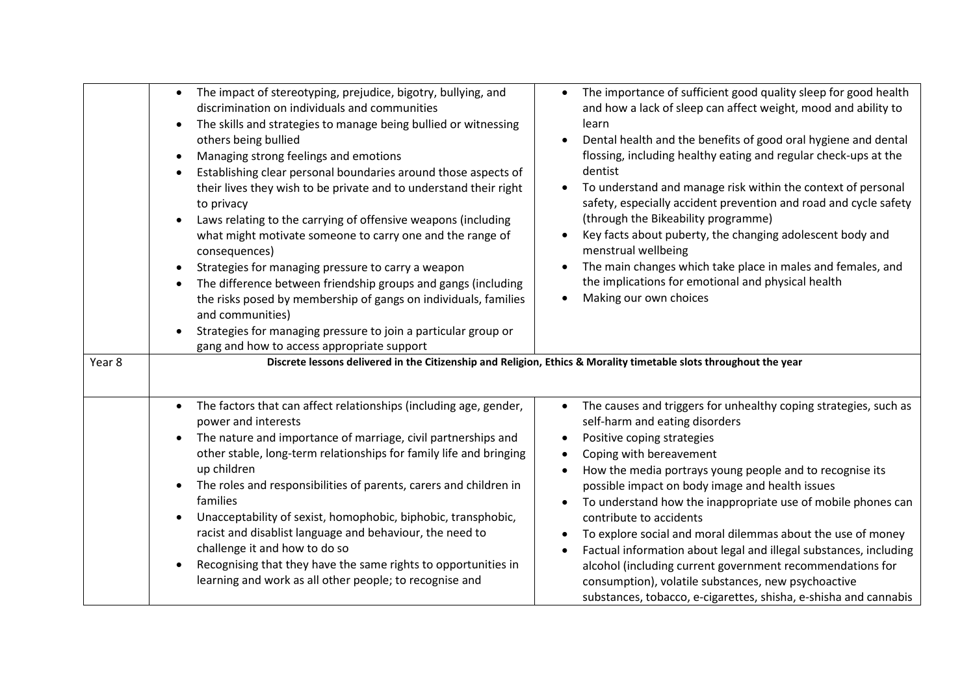|        | The impact of stereotyping, prejudice, bigotry, bullying, and<br>$\bullet$<br>discrimination on individuals and communities<br>The skills and strategies to manage being bullied or witnessing<br>$\bullet$<br>others being bullied<br>Managing strong feelings and emotions<br>$\bullet$<br>Establishing clear personal boundaries around those aspects of<br>٠<br>their lives they wish to be private and to understand their right<br>to privacy<br>Laws relating to the carrying of offensive weapons (including<br>$\bullet$<br>what might motivate someone to carry one and the range of<br>consequences)<br>Strategies for managing pressure to carry a weapon<br>$\bullet$<br>The difference between friendship groups and gangs (including<br>$\bullet$<br>the risks posed by membership of gangs on individuals, families<br>and communities)<br>Strategies for managing pressure to join a particular group or<br>$\bullet$<br>gang and how to access appropriate support | The importance of sufficient good quality sleep for good health<br>and how a lack of sleep can affect weight, mood and ability to<br>learn<br>Dental health and the benefits of good oral hygiene and dental<br>flossing, including healthy eating and regular check-ups at the<br>dentist<br>To understand and manage risk within the context of personal<br>safety, especially accident prevention and road and cycle safety<br>(through the Bikeability programme)<br>Key facts about puberty, the changing adolescent body and<br>menstrual wellbeing<br>The main changes which take place in males and females, and<br>the implications for emotional and physical health<br>Making our own choices<br>$\bullet$                                                                                                               |
|--------|--------------------------------------------------------------------------------------------------------------------------------------------------------------------------------------------------------------------------------------------------------------------------------------------------------------------------------------------------------------------------------------------------------------------------------------------------------------------------------------------------------------------------------------------------------------------------------------------------------------------------------------------------------------------------------------------------------------------------------------------------------------------------------------------------------------------------------------------------------------------------------------------------------------------------------------------------------------------------------------|-------------------------------------------------------------------------------------------------------------------------------------------------------------------------------------------------------------------------------------------------------------------------------------------------------------------------------------------------------------------------------------------------------------------------------------------------------------------------------------------------------------------------------------------------------------------------------------------------------------------------------------------------------------------------------------------------------------------------------------------------------------------------------------------------------------------------------------|
| Year 8 | The factors that can affect relationships (including age, gender,<br>$\bullet$<br>power and interests<br>The nature and importance of marriage, civil partnerships and<br>$\bullet$<br>other stable, long-term relationships for family life and bringing<br>up children<br>The roles and responsibilities of parents, carers and children in<br>$\bullet$<br>families<br>Unacceptability of sexist, homophobic, biphobic, transphobic,<br>$\bullet$<br>racist and disablist language and behaviour, the need to<br>challenge it and how to do so<br>Recognising that they have the same rights to opportunities in<br>$\bullet$<br>learning and work as all other people; to recognise and                                                                                                                                                                                                                                                                                          | Discrete lessons delivered in the Citizenship and Religion, Ethics & Morality timetable slots throughout the year<br>The causes and triggers for unhealthy coping strategies, such as<br>self-harm and eating disorders<br>Positive coping strategies<br>$\bullet$<br>Coping with bereavement<br>How the media portrays young people and to recognise its<br>possible impact on body image and health issues<br>To understand how the inappropriate use of mobile phones can<br>contribute to accidents<br>To explore social and moral dilemmas about the use of money<br>Factual information about legal and illegal substances, including<br>alcohol (including current government recommendations for<br>consumption), volatile substances, new psychoactive<br>substances, tobacco, e-cigarettes, shisha, e-shisha and cannabis |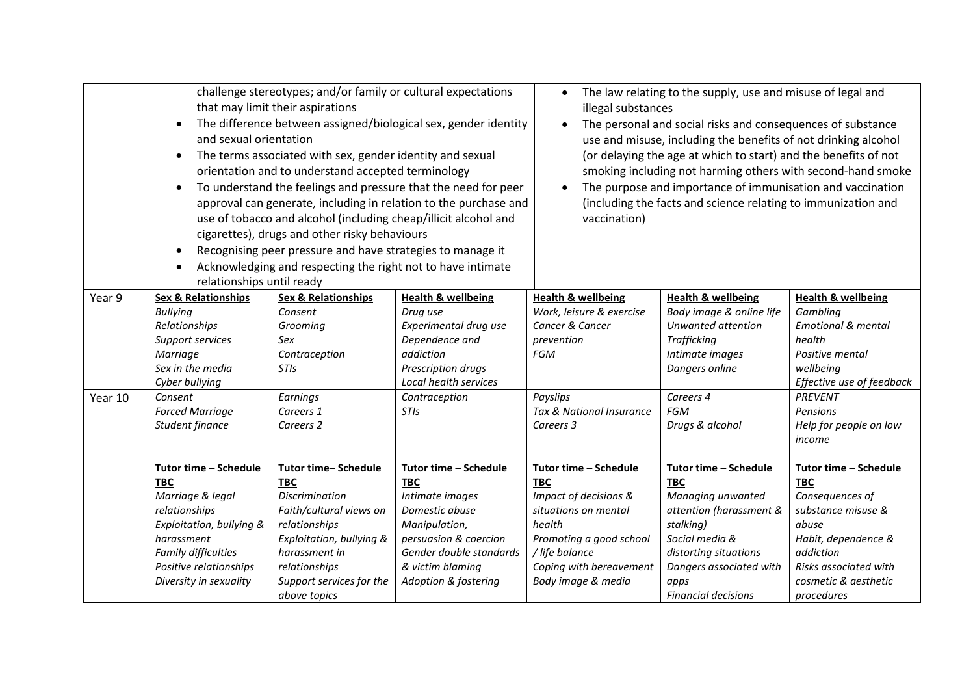|         | challenge stereotypes; and/or family or cultural expectations<br>that may limit their aspirations<br>The difference between assigned/biological sex, gender identity<br>$\bullet$<br>and sexual orientation<br>The terms associated with sex, gender identity and sexual<br>$\bullet$<br>orientation and to understand accepted terminology<br>To understand the feelings and pressure that the need for peer<br>$\bullet$<br>approval can generate, including in relation to the purchase and<br>use of tobacco and alcohol (including cheap/illicit alcohol and<br>cigarettes), drugs and other risky behaviours<br>Recognising peer pressure and have strategies to manage it<br>$\bullet$<br>Acknowledging and respecting the right not to have intimate<br>$\bullet$<br>relationships until ready |                                                                                                                                                                          |                                                                                                                                                    | The law relating to the supply, use and misuse of legal and<br>illegal substances<br>The personal and social risks and consequences of substance<br>use and misuse, including the benefits of not drinking alcohol<br>(or delaying the age at which to start) and the benefits of not<br>smoking including not harming others with second-hand smoke<br>The purpose and importance of immunisation and vaccination<br>$\bullet$<br>(including the facts and science relating to immunization and<br>vaccination) |                                                                                                                                                                  |                                                                                                                                                                         |
|---------|--------------------------------------------------------------------------------------------------------------------------------------------------------------------------------------------------------------------------------------------------------------------------------------------------------------------------------------------------------------------------------------------------------------------------------------------------------------------------------------------------------------------------------------------------------------------------------------------------------------------------------------------------------------------------------------------------------------------------------------------------------------------------------------------------------|--------------------------------------------------------------------------------------------------------------------------------------------------------------------------|----------------------------------------------------------------------------------------------------------------------------------------------------|------------------------------------------------------------------------------------------------------------------------------------------------------------------------------------------------------------------------------------------------------------------------------------------------------------------------------------------------------------------------------------------------------------------------------------------------------------------------------------------------------------------|------------------------------------------------------------------------------------------------------------------------------------------------------------------|-------------------------------------------------------------------------------------------------------------------------------------------------------------------------|
| Year 9  | <b>Sex &amp; Relationships</b><br><b>Bullying</b><br>Relationships<br>Support services<br>Marriage<br>Sex in the media<br>Cyber bullying                                                                                                                                                                                                                                                                                                                                                                                                                                                                                                                                                                                                                                                               | <b>Sex &amp; Relationships</b><br>Consent<br>Grooming<br>Sex<br>Contraception<br><b>STIs</b>                                                                             | <b>Health &amp; wellbeing</b><br>Drug use<br>Experimental drug use<br>Dependence and<br>addiction<br>Prescription drugs<br>Local health services   | <b>Health &amp; wellbeing</b><br>Work, leisure & exercise<br>Cancer & Cancer<br>prevention<br><b>FGM</b>                                                                                                                                                                                                                                                                                                                                                                                                         | <b>Health &amp; wellbeing</b><br>Body image & online life<br>Unwanted attention<br>Trafficking<br>Intimate images<br>Dangers online                              | <b>Health &amp; wellbeing</b><br>Gambling<br><b>Emotional &amp; mental</b><br>health<br>Positive mental<br>wellbeing<br>Effective use of feedback                       |
| Year 10 | Consent<br><b>Forced Marriage</b><br>Student finance<br>Tutor time - Schedule<br><b>TBC</b><br>Marriage & legal<br>relationships<br>Exploitation, bullying &<br>harassment                                                                                                                                                                                                                                                                                                                                                                                                                                                                                                                                                                                                                             | Earnings<br>Careers 1<br>Careers 2<br>Tutor time-Schedule<br><b>TBC</b><br><b>Discrimination</b><br>Faith/cultural views on<br>relationships<br>Exploitation, bullying & | Contraception<br><b>STIs</b><br>Tutor time - Schedule<br><b>TBC</b><br>Intimate images<br>Domestic abuse<br>Manipulation,<br>persuasion & coercion | Payslips<br>Tax & National Insurance<br>Careers 3<br>Tutor time - Schedule<br><b>TBC</b><br>Impact of decisions &<br>situations on mental<br>health<br>Promoting a good school                                                                                                                                                                                                                                                                                                                                   | Careers 4<br><b>FGM</b><br>Drugs & alcohol<br>Tutor time - Schedule<br><b>TBC</b><br>Managing unwanted<br>attention (harassment &<br>stalking)<br>Social media & | PREVENT<br>Pensions<br>Help for people on low<br>income<br>Tutor time - Schedule<br><b>TBC</b><br>Consequences of<br>substance misuse &<br>abuse<br>Habit, dependence & |
|         | Family difficulties<br>Positive relationships<br>Diversity in sexuality                                                                                                                                                                                                                                                                                                                                                                                                                                                                                                                                                                                                                                                                                                                                | harassment in<br>relationships<br>Support services for the<br>above topics                                                                                               | Gender double standards<br>& victim blaming<br>Adoption & fostering                                                                                | / life balance<br>Coping with bereavement<br>Body image & media                                                                                                                                                                                                                                                                                                                                                                                                                                                  | distorting situations<br>Dangers associated with<br>apps<br><b>Financial decisions</b>                                                                           | addiction<br>Risks associated with<br>cosmetic & aesthetic<br>procedures                                                                                                |